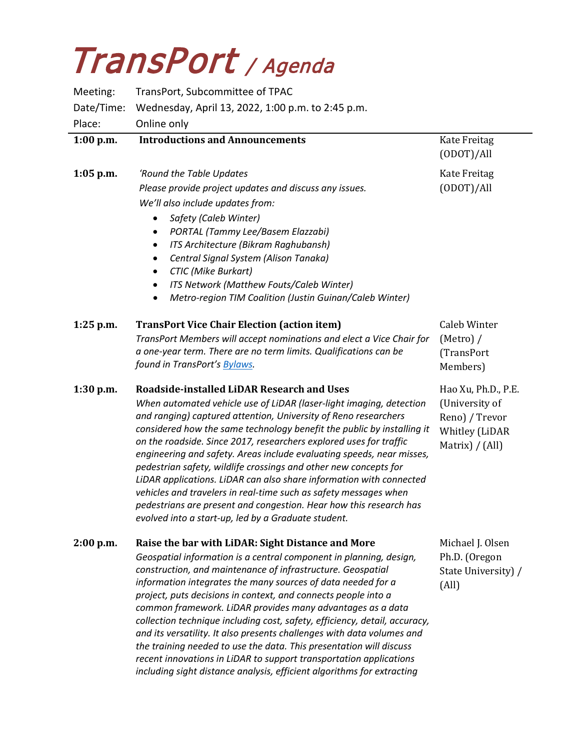## TransPort / Agenda

| Meeting:    | TransPort, Subcommittee of TPAC                                                                                                                                                                                                                                                                                                                                                                                                                                                                                                                                                                                                                                                                                                                                       |                                                                                                     |
|-------------|-----------------------------------------------------------------------------------------------------------------------------------------------------------------------------------------------------------------------------------------------------------------------------------------------------------------------------------------------------------------------------------------------------------------------------------------------------------------------------------------------------------------------------------------------------------------------------------------------------------------------------------------------------------------------------------------------------------------------------------------------------------------------|-----------------------------------------------------------------------------------------------------|
| Date/Time:  | Wednesday, April 13, 2022, 1:00 p.m. to 2:45 p.m.                                                                                                                                                                                                                                                                                                                                                                                                                                                                                                                                                                                                                                                                                                                     |                                                                                                     |
| Place:      | Online only                                                                                                                                                                                                                                                                                                                                                                                                                                                                                                                                                                                                                                                                                                                                                           |                                                                                                     |
| $1:00$ p.m. | <b>Introductions and Announcements</b>                                                                                                                                                                                                                                                                                                                                                                                                                                                                                                                                                                                                                                                                                                                                | Kate Freitag<br>(ODOT)/All                                                                          |
| $1:05$ p.m. | 'Round the Table Updates<br>Please provide project updates and discuss any issues.<br>We'll also include updates from:<br>Safety (Caleb Winter)<br>$\bullet$<br>PORTAL (Tammy Lee/Basem Elazzabi)<br>٠<br>ITS Architecture (Bikram Raghubansh)<br>٠<br>Central Signal System (Alison Tanaka)<br>٠<br>CTIC (Mike Burkart)<br>٠<br>ITS Network (Matthew Fouts/Caleb Winter)<br>٠<br>Metro-region TIM Coalition (Justin Guinan/Caleb Winter)<br>$\bullet$                                                                                                                                                                                                                                                                                                                | Kate Freitag<br>(ODOT)/All                                                                          |
| 1:25 p.m.   | <b>TransPort Vice Chair Election (action item)</b><br>TransPort Members will accept nominations and elect a Vice Chair for<br>a one-year term. There are no term limits. Qualifications can be<br>found in TransPort's Bylaws.                                                                                                                                                                                                                                                                                                                                                                                                                                                                                                                                        | <b>Caleb Winter</b><br>(Metro) /<br>(TransPort<br>Members)                                          |
| $1:30$ p.m. | <b>Roadside-installed LiDAR Research and Uses</b><br>When automated vehicle use of LiDAR (laser-light imaging, detection<br>and ranging) captured attention, University of Reno researchers<br>considered how the same technology benefit the public by installing it<br>on the roadside. Since 2017, researchers explored uses for traffic<br>engineering and safety. Areas include evaluating speeds, near misses,<br>pedestrian safety, wildlife crossings and other new concepts for<br>LiDAR applications. LiDAR can also share information with connected<br>vehicles and travelers in real-time such as safety messages when<br>pedestrians are present and congestion. Hear how this research has<br>evolved into a start-up, led by a Graduate student.      | Hao Xu, Ph.D., P.E.<br>(University of<br>Reno) / Trevor<br><b>Whitley (LiDAR</b><br>Matrix) / (All) |
| 2:00 p.m.   | Raise the bar with LiDAR: Sight Distance and More<br>Geospatial information is a central component in planning, design,<br>construction, and maintenance of infrastructure. Geospatial<br>information integrates the many sources of data needed for a<br>project, puts decisions in context, and connects people into a<br>common framework. LiDAR provides many advantages as a data<br>collection technique including cost, safety, efficiency, detail, accuracy,<br>and its versatility. It also presents challenges with data volumes and<br>the training needed to use the data. This presentation will discuss<br>recent innovations in LiDAR to support transportation applications<br>including sight distance analysis, efficient algorithms for extracting | Michael J. Olsen<br>Ph.D. (Oregon<br>State University) /<br>(All)                                   |